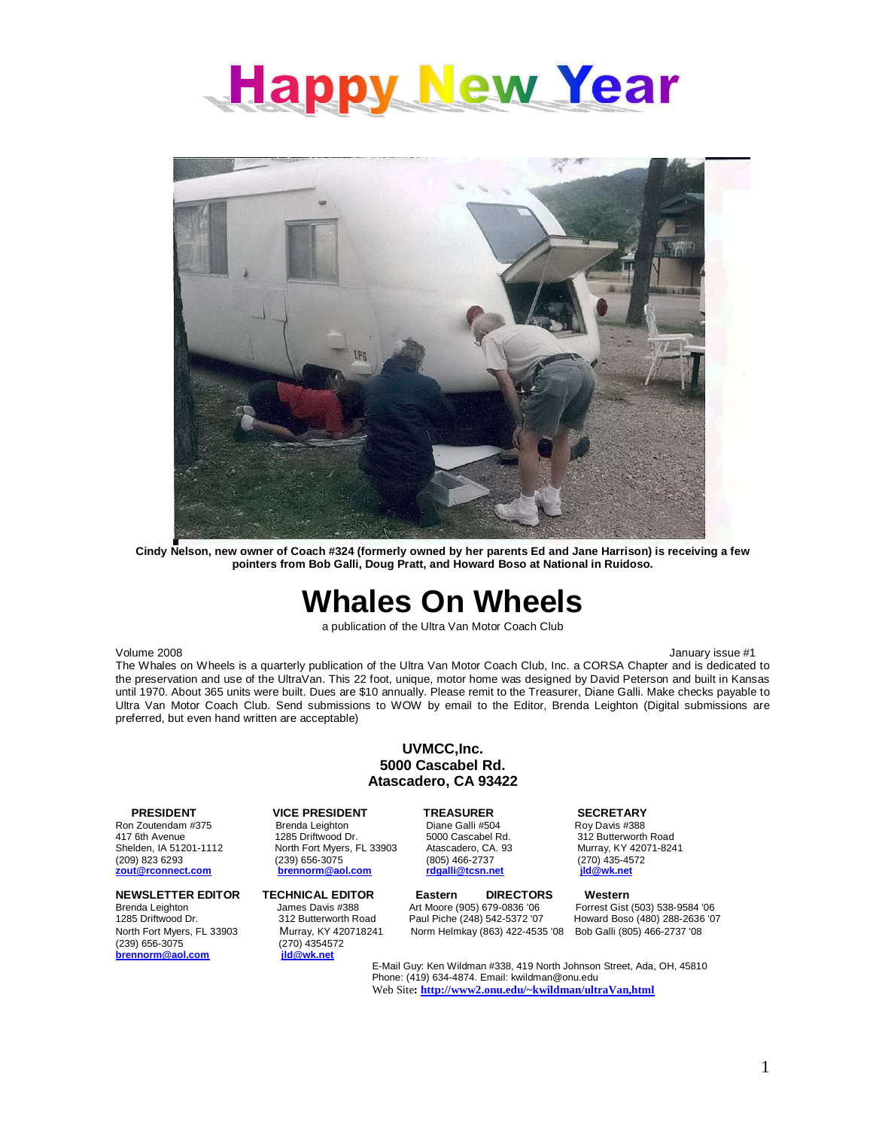



**pointers from Bob Galli, Doug Pratt, and Howard Boso at National in Ruidoso.** 

# **Whales On Wheels**

a publication of the Ultra Van Motor Coach Club

Volume 2008 **Volume 2008 January issue #1** 

The Whales on Wheels is a quarterly publication of the Ultra Van Motor Coach Club, Inc. a CORSA Chapter and is dedicated to the preservation and use of the UltraVan. This 22 foot, unique, motor home was designed by David Peterson and built in Kansas until 1970. About 365 units were built. Dues are \$10 annually. Please remit to the Treasurer, Diane Galli. Make checks payable to Ultra Van Motor Coach Club. Send submissions to WOW by email to the Editor, Brenda Leighton (Digital submissions are preferred, but even hand written are acceptable)

### **UVMCC,Inc. 5000 Cascabel Rd. Atascadero, CA 93422**

417 6th Avenue 1285 Driftwood Dr. 5000 Cascabel Rd. 312 Butterworth Road<br>1285 Driftwood Dr. 33903 Atascadero, CA. 93 Murray, KY 42071-8241 Shelden, IA 51201-1112 North Fort Myers, FL 33903 Atascadero, CA. 93<br>(209) 823 6293 (239) 656-3075 (805) 466-2737 **zout@rconnect.com** 

North Fort Myers, FL 33903 Murray, KY 420718241 Norm Helmkay (863) 422-4535 '08 Bob Galli (805) 466-2737 '08 (239) 656-3075 (270) 4354572  $\mathbf{b}$ rennorm@aol.com

# Brenda Leighton

**PRESIDENT VICE PRESIDENT TREASURER SECRETARY**<br>Ron Zoutendam #375 Brenda Leighton Diane Galli #504 Roy Davis #388 (239) 656-3075 (2005) 466-2737 (270) 435-4572<br>
<u>Drennorm@aol.com rdgalli@tcsn.net</u> (270) <u>435-4572</u>

**NEWSLETTER EDITOR TECHNICAL EDITOR Eastern DIRECTORS Western** Brenda Leighton James Davis #388 Art Moore (905) 679-0836 '06 Forrest Gist (503) 538-9584 '06<br>1285 Driftwood Dr. 1288-2636 '03 288-2636 '03 Art Piche (248) 542-5372 '07 Howard Boso (480) 288-2636 '03

Howard Boso (480) 288-2636 '07

E-Mail Guy: Ken Wildman #338, 419 North Johnson Street, Ada, OH, 45810 Phone: (419) 634-4874. Email: kwildman@onu.edu Web Site**: [http://www2.onu.edu/~kwildman/ultraVan,html](http://www2.onu.edu/kwildman/ultraVanhtml)**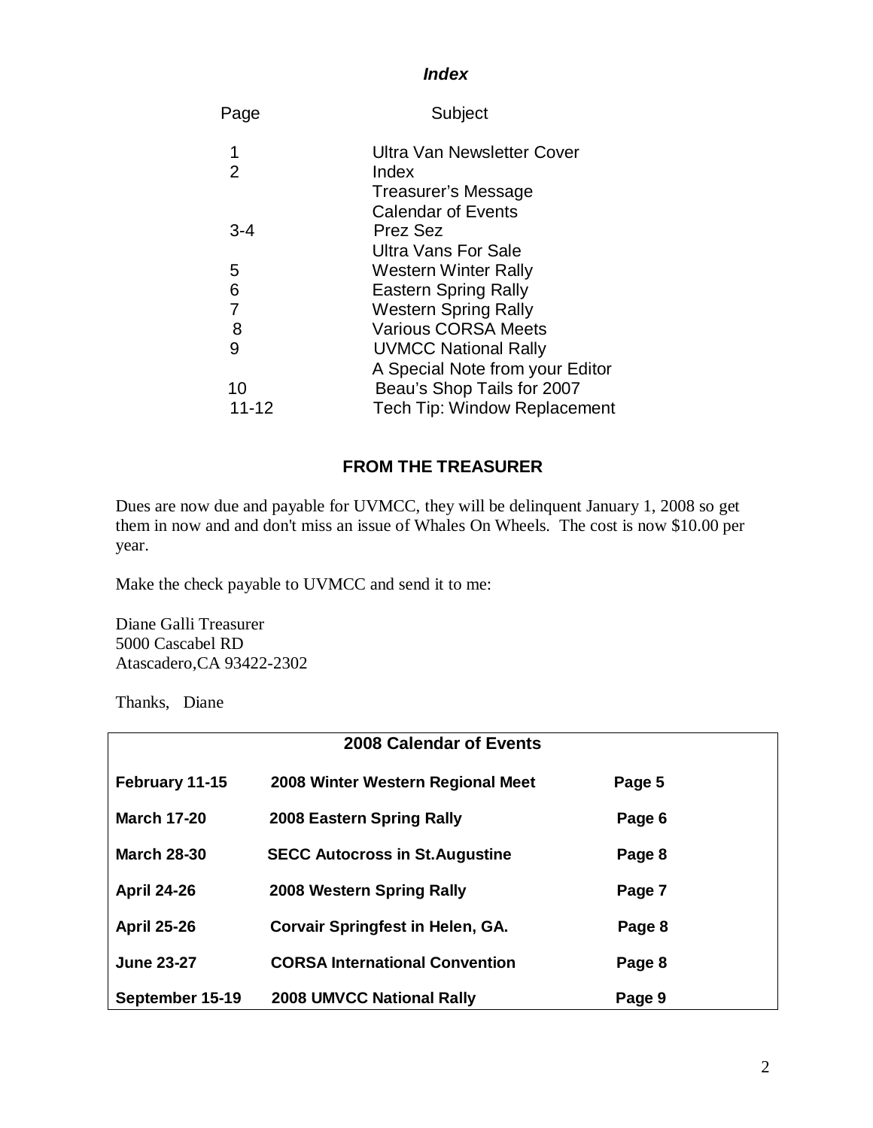### **Index**

| Subject                             |
|-------------------------------------|
| Ultra Van Newsletter Cover          |
| Index<br>Treasurer's Message        |
| <b>Calendar of Events</b>           |
| Prez Sez                            |
| Ultra Vans For Sale                 |
| <b>Western Winter Rally</b>         |
| <b>Eastern Spring Rally</b>         |
| <b>Western Spring Rally</b>         |
| <b>Various CORSA Meets</b>          |
| <b>UVMCC National Rally</b>         |
| A Special Note from your Editor     |
| Beau's Shop Tails for 2007          |
| <b>Tech Tip: Window Replacement</b> |
|                                     |

## **FROM THE TREASURER**

Dues are now due and payable for UVMCC, they will be delinquent January 1, 2008 so get them in now and and don't miss an issue of Whales On Wheels. The cost is now \$10.00 per year.

Make the check payable to UVMCC and send it to me:

Diane Galli Treasurer 5000 Cascabel RD Atascadero,CA 93422-2302

Thanks, Diane

| 2008 Calendar of Events |                                         |        |
|-------------------------|-----------------------------------------|--------|
| February 11-15          | 2008 Winter Western Regional Meet       | Page 5 |
| <b>March 17-20</b>      | 2008 Eastern Spring Rally               | Page 6 |
| <b>March 28-30</b>      | <b>SECC Autocross in St. Augustine</b>  | Page 8 |
| <b>April 24-26</b>      | 2008 Western Spring Rally               | Page 7 |
| <b>April 25-26</b>      | <b>Corvair Springfest in Helen, GA.</b> | Page 8 |
| <b>June 23-27</b>       | <b>CORSA International Convention</b>   | Page 8 |
| September 15-19         | <b>2008 UMVCC National Rally</b>        | Page 9 |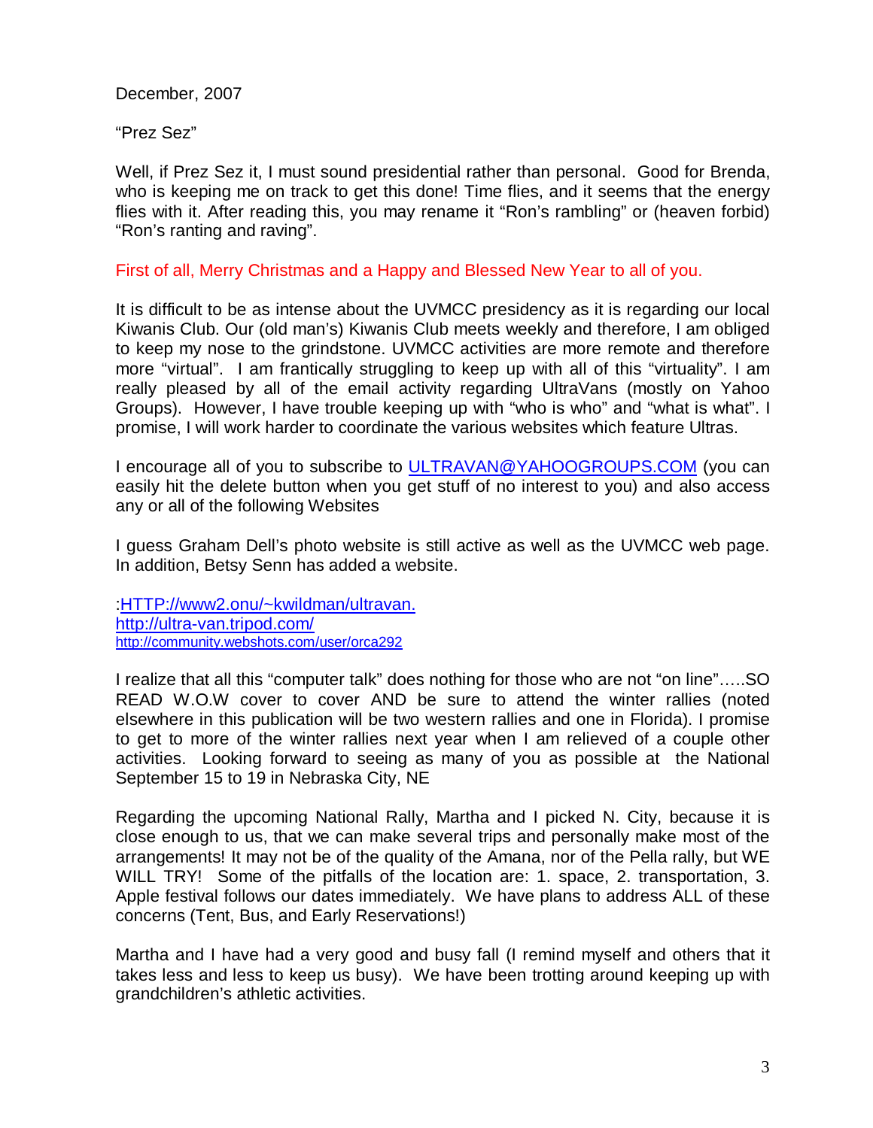December, 2007

"Prez Sez"

Well, if Prez Sez it, I must sound presidential rather than personal. Good for Brenda, who is keeping me on track to get this done! Time flies, and it seems that the energy flies with it. After reading this, you may rename it "Ron's rambling" or (heaven forbid) "Ron's ranting and raving".

First of all, Merry Christmas and a Happy and Blessed New Year to all of you.

It is difficult to be as intense about the UVMCC presidency as it is regarding our local Kiwanis Club. Our (old man's) Kiwanis Club meets weekly and therefore, I am obliged to keep my nose to the grindstone. UVMCC activities are more remote and therefore more "virtual". I am frantically struggling to keep up with all of this "virtuality". I am really pleased by all of the email activity regarding UltraVans (mostly on Yahoo Groups). However, I have trouble keeping up with "who is who" and "what is what". I promise, I will work harder to coordinate the various websites which feature Ultras.

I encourage all of you to subscribe to [ULTRAVAN@YAHOOGROUPS.COM](mailto:ULTRAVAN@YAHOOGROUPS.COM) (you can easily hit the delete button when you get stuff of no interest to you) and also access any or all of the following Websites

I guess Graham Dell's photo website is still active as well as the UVMCC web page. In addition, Betsy Senn has added a website.

[:HTTP://www2.onu/~kwildman/ultravan.](http://www2.onu/kwildman/ultravan.HTML) <http://ultra-van.tripod.com/> <http://community.webshots.com/user/orca292>

I realize that all this "computer talk" does nothing for those who are not "on line"…..SO READ W.O.W cover to cover AND be sure to attend the winter rallies (noted elsewhere in this publication will be two western rallies and one in Florida). I promise to get to more of the winter rallies next year when I am relieved of a couple other activities. Looking forward to seeing as many of you as possible at the National September 15 to 19 in Nebraska City, NE

Regarding the upcoming National Rally, Martha and I picked N. City, because it is close enough to us, that we can make several trips and personally make most of the arrangements! It may not be of the quality of the Amana, nor of the Pella rally, but WE WILL TRY! Some of the pitfalls of the location are: 1. space, 2. transportation, 3. Apple festival follows our dates immediately. We have plans to address ALL of these concerns (Tent, Bus, and Early Reservations!)

Martha and I have had a very good and busy fall (I remind myself and others that it takes less and less to keep us busy). We have been trotting around keeping up with grandchildren's athletic activities.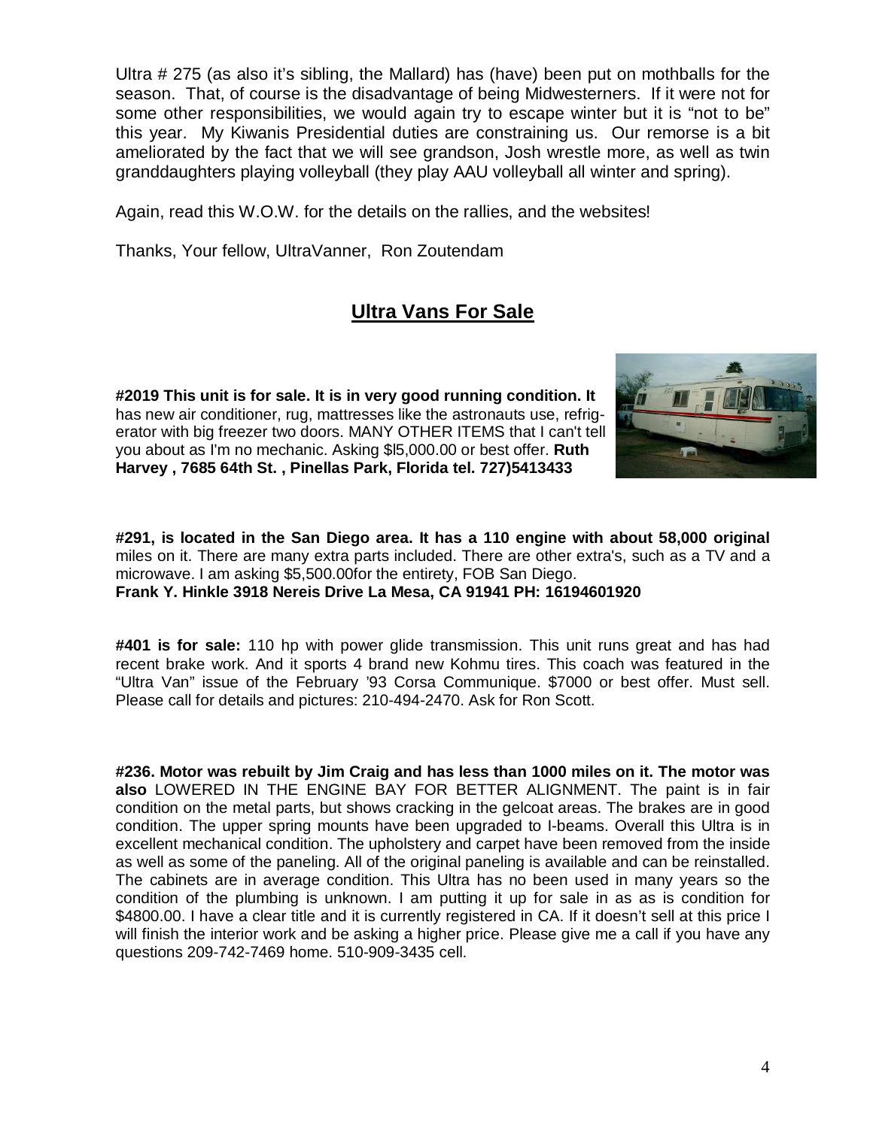Ultra # 275 (as also it's sibling, the Mallard) has (have) been put on mothballs for the season. That, of course is the disadvantage of being Midwesterners. If it were not for some other responsibilities, we would again try to escape winter but it is "not to be" this year. My Kiwanis Presidential duties are constraining us. Our remorse is a bit ameliorated by the fact that we will see grandson, Josh wrestle more, as well as twin granddaughters playing volleyball (they play AAU volleyball all winter and spring).

Again, read this W.O.W. for the details on the rallies, and the websites!

Thanks, Your fellow, UltraVanner, Ron Zoutendam

# **Ultra Vans For Sale**

**#2019 This unit is for sale. It is in very good running condition. It**  has new air conditioner, rug, mattresses like the astronauts use, refrigerator with big freezer two doors. MANY OTHER ITEMS that I can't tell you about as I'm no mechanic. Asking \$l5,000.00 or best offer. **Ruth Harvey , 7685 64th St. , Pinellas Park, Florida tel. 727)5413433** 



**#291, is located in the San Diego area. It has a 110 engine with about 58,000 original**  miles on it. There are many extra parts included. There are other extra's, such as a TV and a microwave. I am asking \$5,500.00for the entirety, FOB San Diego. **Frank Y. Hinkle 3918 Nereis Drive La Mesa, CA 91941 PH: 16194601920** 

**#401 is for sale:** 110 hp with power glide transmission. This unit runs great and has had recent brake work. And it sports 4 brand new Kohmu tires. This coach was featured in the "Ultra Van" issue of the February '93 Corsa Communique. \$7000 or best offer. Must sell. Please call for details and pictures: 210-494-2470. Ask for Ron Scott.

**#236. Motor was rebuilt by Jim Craig and has less than 1000 miles on it. The motor was also** LOWERED IN THE ENGINE BAY FOR BETTER ALIGNMENT. The paint is in fair condition on the metal parts, but shows cracking in the gelcoat areas. The brakes are in good condition. The upper spring mounts have been upgraded to I-beams. Overall this Ultra is in excellent mechanical condition. The upholstery and carpet have been removed from the inside as well as some of the paneling. All of the original paneling is available and can be reinstalled. The cabinets are in average condition. This Ultra has no been used in many years so the condition of the plumbing is unknown. I am putting it up for sale in as as is condition for \$4800.00. I have a clear title and it is currently registered in CA. If it doesn't sell at this price I will finish the interior work and be asking a higher price. Please give me a call if you have any questions 209-742-7469 home. 510-909-3435 cell.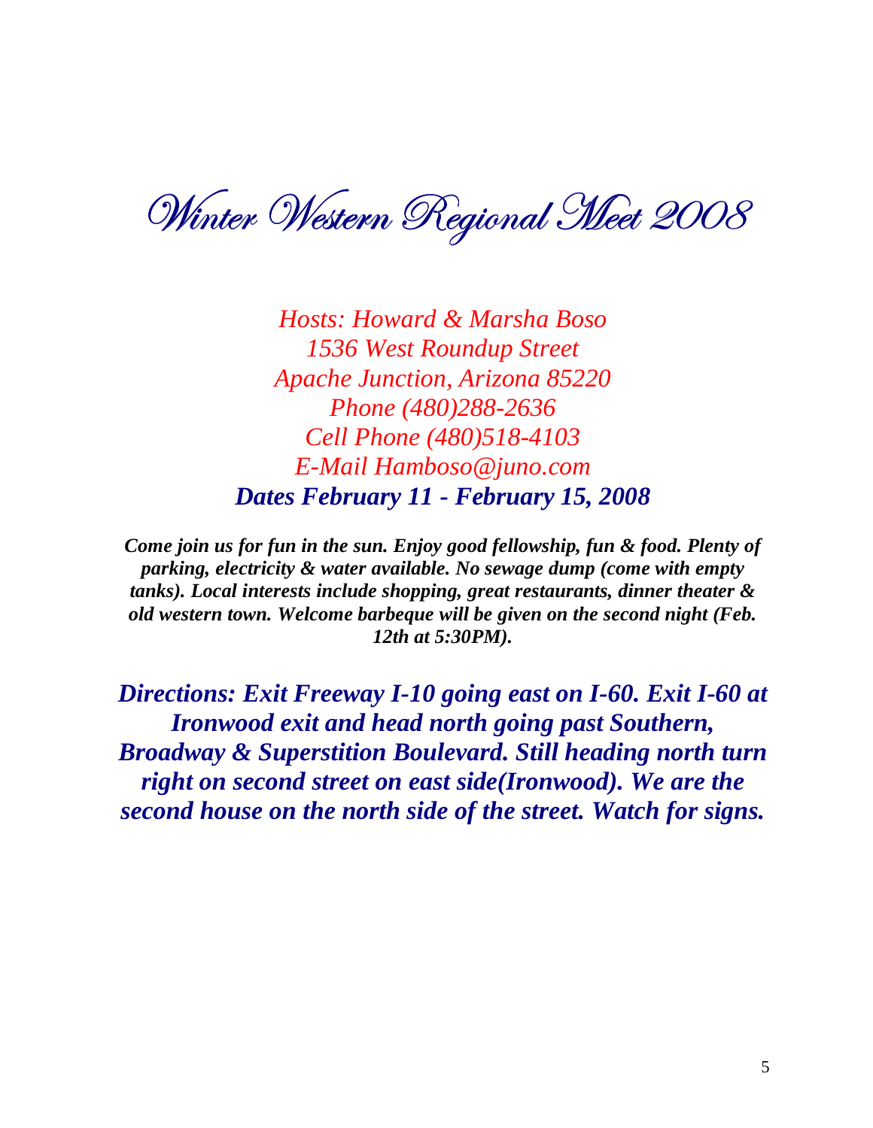Winter Western Regional Meet 2008

*Hosts: Howard & Marsha Boso 1536 West Roundup Street Apache Junction, Arizona 85220 Phone (480)288-2636 Cell Phone (480)518-4103 E-Mail Hamboso@juno.com Dates February 11 - February 15, 2008* 

*Come join us for fun in the sun. Enjoy good fellowship, fun & food. Plenty of parking, electricity & water available. No sewage dump (come with empty tanks). Local interests include shopping, great restaurants, dinner theater & old western town. Welcome barbeque will be given on the second night (Feb. 12th at 5:30PM).* 

*Directions: Exit Freeway I-10 going east on I-60. Exit I-60 at Ironwood exit and head north going past Southern, Broadway & Superstition Boulevard. Still heading north turn right on second street on east side(Ironwood). We are the second house on the north side of the street. Watch for signs.*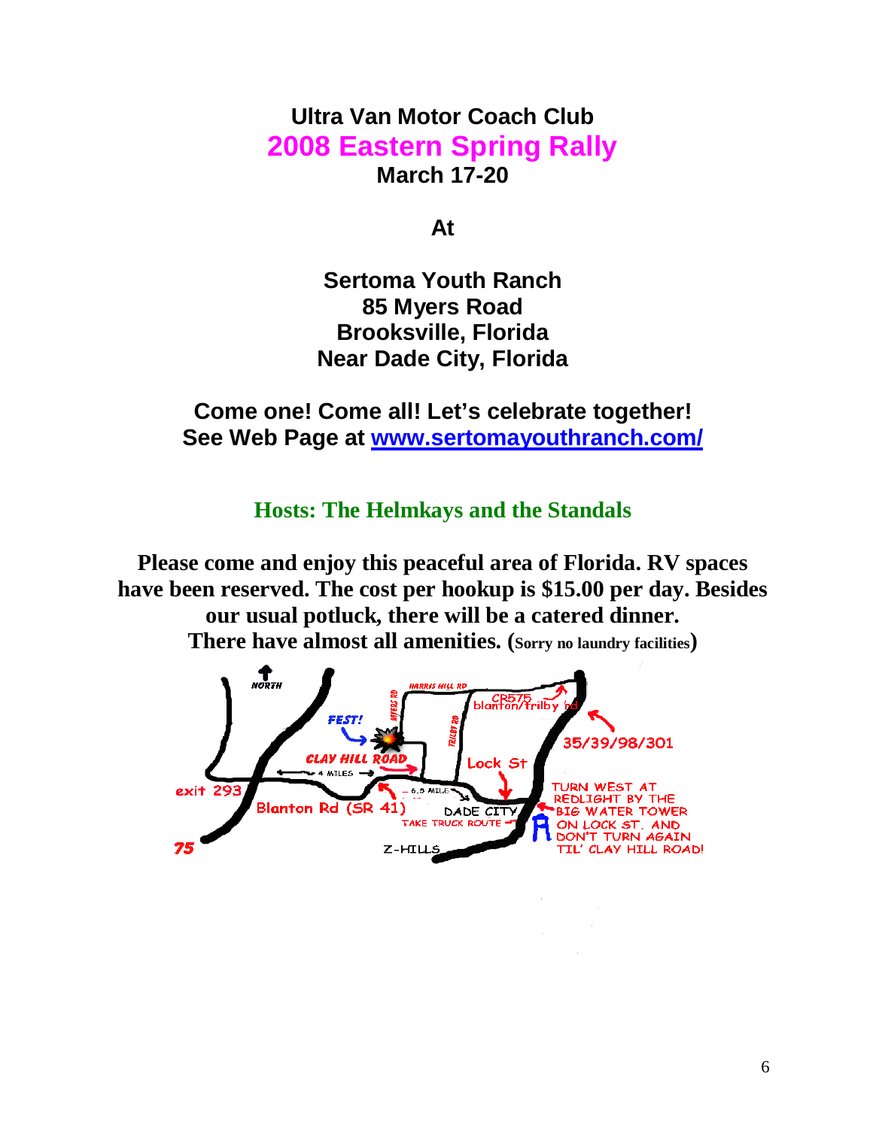# **Ultra Van Motor Coach Club 2008 Eastern Spring Rally March 17-20**

**At** 

**Sertoma Youth Ranch 85 Myers Road Brooksville, Florida Near Dade City, Florida** 

**Come one! Come all! Let's celebrate together! See Web Page at [www.sertomayouthranch.com/](http://www.sertomayouthranch.com/)**

**Hosts: The Helmkays and the Standals** 

**Please come and enjoy this peaceful area of Florida. RV spaces have been reserved. The cost per hookup is \$15.00 per day. Besides our usual potluck, there will be a catered dinner. There have almost all amenities. (Sorry no laundry facilities)** 

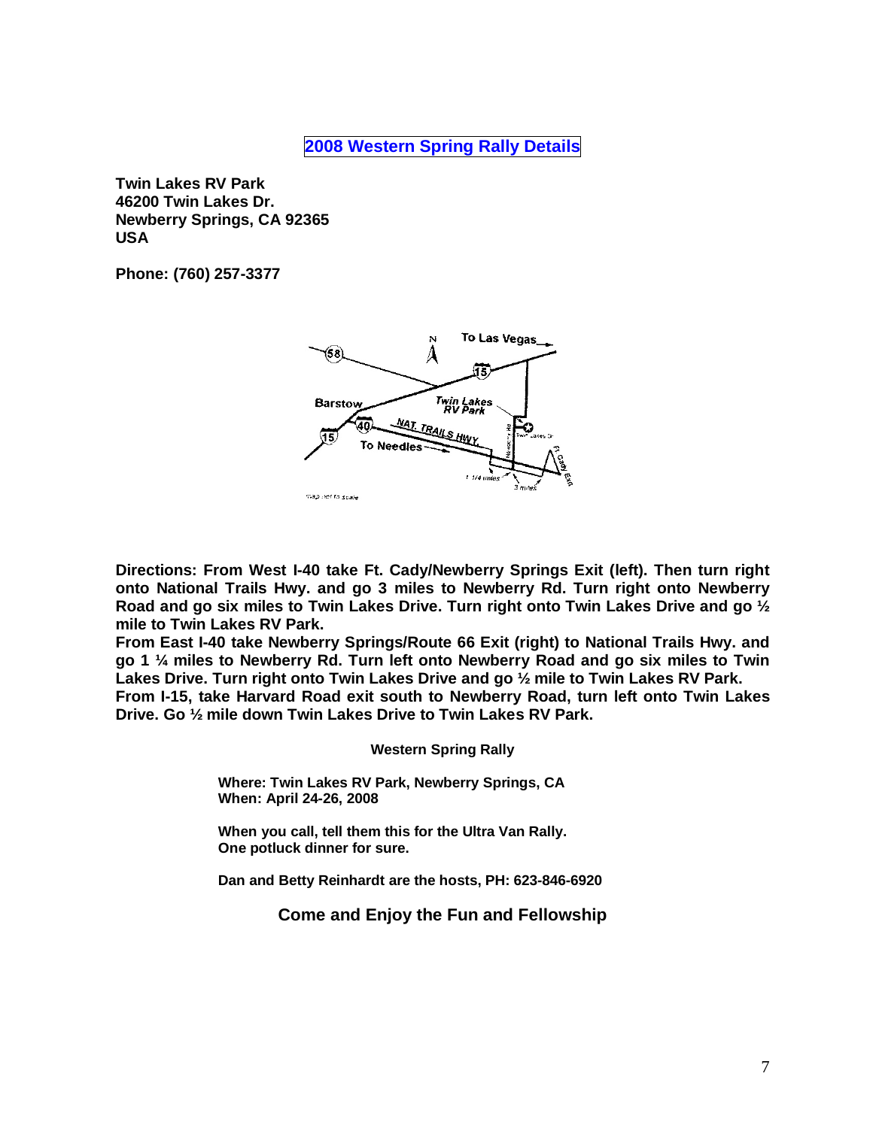**2008 Western Spring Rally Details** 

**Twin Lakes RV Park 46200 Twin Lakes Dr. Newberry Springs, CA 92365 USA** 

**Phone: (760) 257-3377** 



**Directions: From West I-40 take Ft. Cady/Newberry Springs Exit (left). Then turn right onto National Trails Hwy. and go 3 miles to Newberry Rd. Turn right onto Newberry Road and go six miles to Twin Lakes Drive. Turn right onto Twin Lakes Drive and go ½ mile to Twin Lakes RV Park.** 

**From East I-40 take Newberry Springs/Route 66 Exit (right) to National Trails Hwy. and go 1 ¼ miles to Newberry Rd. Turn left onto Newberry Road and go six miles to Twin Lakes Drive. Turn right onto Twin Lakes Drive and go ½ mile to Twin Lakes RV Park.** 

**From I-15, take Harvard Road exit south to Newberry Road, turn left onto Twin Lakes Drive. Go ½ mile down Twin Lakes Drive to Twin Lakes RV Park.** 

**Western Spring Rally** 

 **Where: Twin Lakes RV Park, Newberry Springs, CA When: April 24-26, 2008** 

 **When you call, tell them this for the Ultra Van Rally. One potluck dinner for sure.** 

 **Dan and Betty Reinhardt are the hosts, PH: 623-846-6920** 

**Come and Enjoy the Fun and Fellowship**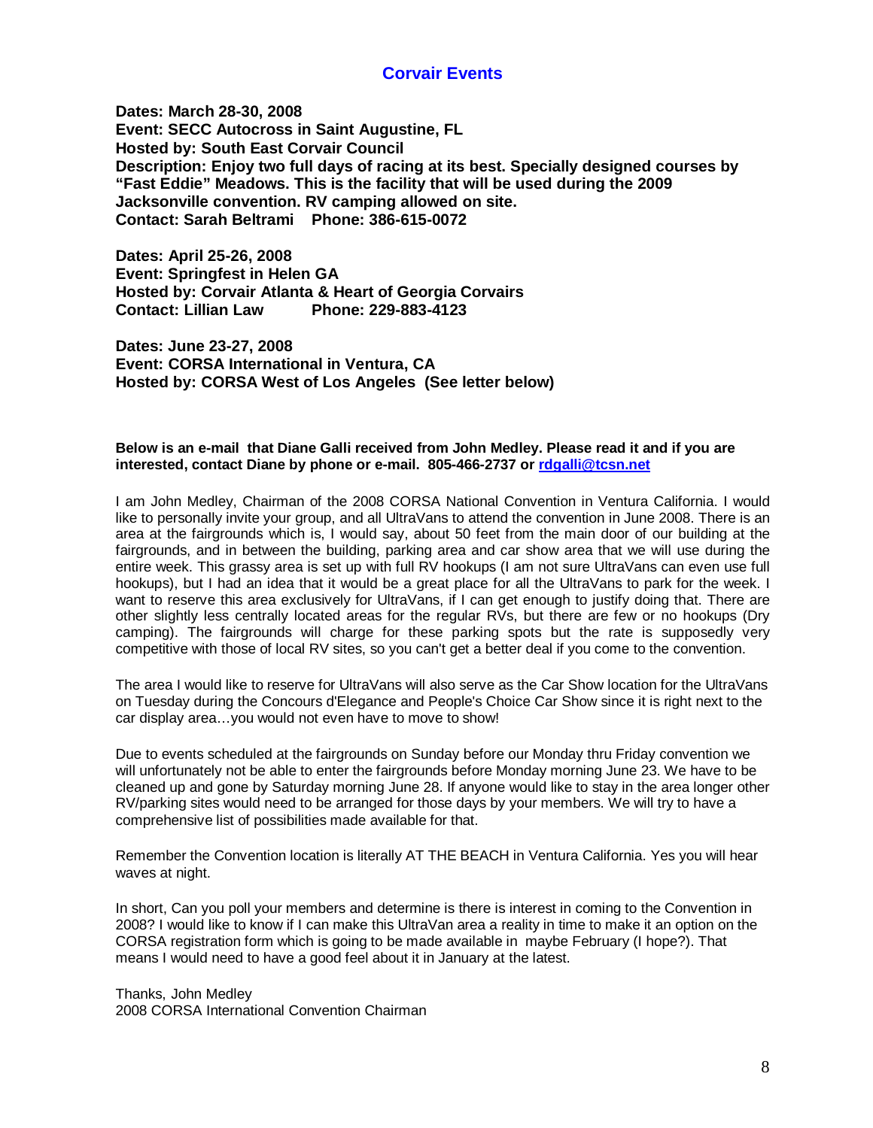### **Corvair Events**

**Dates: March 28-30, 2008 Event: SECC Autocross in Saint Augustine, FL Hosted by: South East Corvair Council Description: Enjoy two full days of racing at its best. Specially designed courses by "Fast Eddie" Meadows. This is the facility that will be used during the 2009 Jacksonville convention. RV camping allowed on site. Contact: Sarah Beltrami Phone: 386-615-0072** 

**Dates: April 25-26, 2008 Event: Springfest in Helen GA Hosted by: Corvair Atlanta & Heart of Georgia Corvairs Contact: Lillian Law Phone: 229-883-4123** 

**Dates: June 23-27, 2008 Event: CORSA International in Ventura, CA Hosted by: CORSA West of Los Angeles (See letter below)** 

### **Below is an e-mail that Diane Galli received from John Medley. Please read it and if you are interested, contact Diane by phone or e-mail. 805-466-2737 or [rdgalli@tcsn.net](mailto:rdgalli@tcsn.net)**

I am John Medley, Chairman of the 2008 CORSA National Convention in Ventura California. I would like to personally invite your group, and all UltraVans to attend the convention in June 2008. There is an area at the fairgrounds which is, I would say, about 50 feet from the main door of our building at the fairgrounds, and in between the building, parking area and car show area that we will use during the entire week. This grassy area is set up with full RV hookups (I am not sure UltraVans can even use full hookups), but I had an idea that it would be a great place for all the UltraVans to park for the week. I want to reserve this area exclusively for UltraVans, if I can get enough to justify doing that. There are other slightly less centrally located areas for the regular RVs, but there are few or no hookups (Dry camping). The fairgrounds will charge for these parking spots but the rate is supposedly very competitive with those of local RV sites, so you can't get a better deal if you come to the convention.

The area I would like to reserve for UltraVans will also serve as the Car Show location for the UltraVans on Tuesday during the Concours d'Elegance and People's Choice Car Show since it is right next to the car display area…you would not even have to move to show!

Due to events scheduled at the fairgrounds on Sunday before our Monday thru Friday convention we will unfortunately not be able to enter the fairgrounds before Monday morning June 23. We have to be cleaned up and gone by Saturday morning June 28. If anyone would like to stay in the area longer other RV/parking sites would need to be arranged for those days by your members. We will try to have a comprehensive list of possibilities made available for that.

Remember the Convention location is literally AT THE BEACH in Ventura California. Yes you will hear waves at night.

In short, Can you poll your members and determine is there is interest in coming to the Convention in 2008? I would like to know if I can make this UltraVan area a reality in time to make it an option on the CORSA registration form which is going to be made available in maybe February (I hope?). That means I would need to have a good feel about it in January at the latest.

Thanks, John Medley 2008 CORSA International Convention Chairman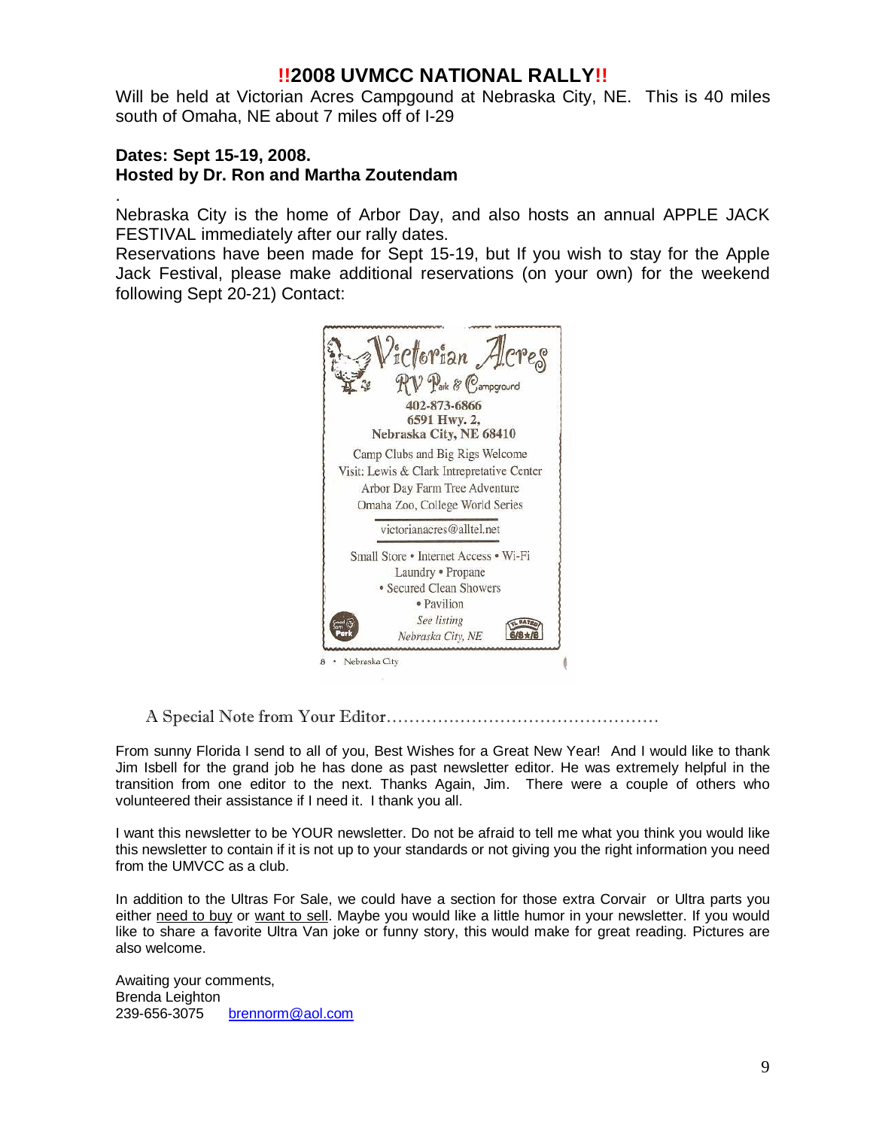# **!!2008 UVMCC NATIONAL RALLY!!**

Will be held at Victorian Acres Campgound at Nebraska City, NE. This is 40 miles south of Omaha, NE about 7 miles off of I-29

## **Dates: Sept 15-19, 2008. Hosted by Dr. Ron and Martha Zoutendam**

.

Nebraska City is the home of Arbor Day, and also hosts an annual APPLE JACK FESTIVAL immediately after our rally dates.

Reservations have been made for Sept 15-19, but If you wish to stay for the Apple Jack Festival, please make additional reservations (on your own) for the weekend following Sept 20-21) Contact:



A Special Note from Your Editor…………………………………………

From sunny Florida I send to all of you, Best Wishes for a Great New Year! And I would like to thank Jim Isbell for the grand job he has done as past newsletter editor. He was extremely helpful in the transition from one editor to the next. Thanks Again, Jim. There were a couple of others who volunteered their assistance if I need it. I thank you all.

I want this newsletter to be YOUR newsletter. Do not be afraid to tell me what you think you would like this newsletter to contain if it is not up to your standards or not giving you the right information you need from the UMVCC as a club.

In addition to the Ultras For Sale, we could have a section for those extra Corvair or Ultra parts you either need to buy or want to sell. Maybe you would like a little humor in your newsletter. If you would like to share a favorite Ultra Van joke or funny story, this would make for great reading. Pictures are also welcome.

Awaiting your comments, Brenda Leighton 239-656-3075 [brennorm@aol.com](mailto:brennorm@aol.com)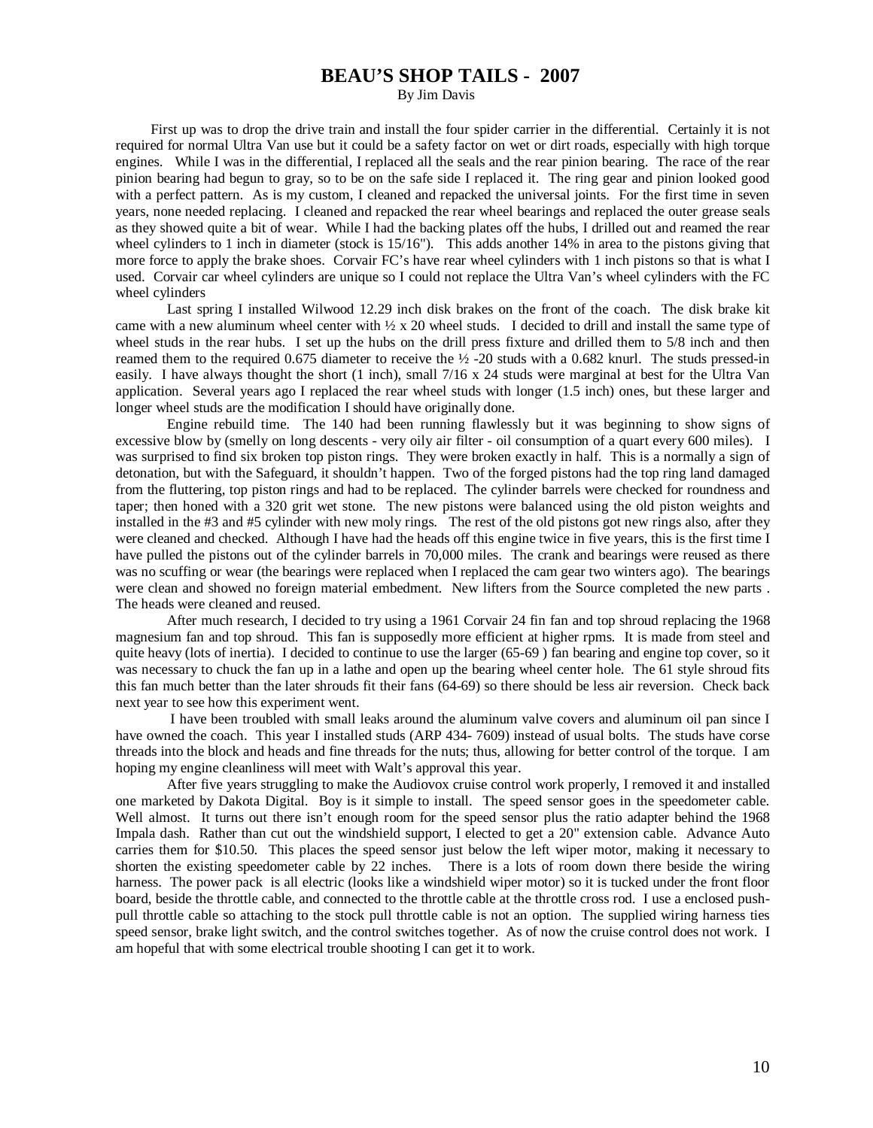### **BEAU'S SHOP TAILS - 2007**

By Jim Davis

 First up was to drop the drive train and install the four spider carrier in the differential. Certainly it is not required for normal Ultra Van use but it could be a safety factor on wet or dirt roads, especially with high torque engines. While I was in the differential, I replaced all the seals and the rear pinion bearing. The race of the rear pinion bearing had begun to gray, so to be on the safe side I replaced it. The ring gear and pinion looked good with a perfect pattern. As is my custom, I cleaned and repacked the universal joints. For the first time in seven years, none needed replacing. I cleaned and repacked the rear wheel bearings and replaced the outer grease seals as they showed quite a bit of wear. While I had the backing plates off the hubs, I drilled out and reamed the rear wheel cylinders to 1 inch in diameter (stock is 15/16"). This adds another 14% in area to the pistons giving that more force to apply the brake shoes. Corvair FC's have rear wheel cylinders with 1 inch pistons so that is what I used. Corvair car wheel cylinders are unique so I could not replace the Ultra Van's wheel cylinders with the FC wheel cylinders

 Last spring I installed Wilwood 12.29 inch disk brakes on the front of the coach. The disk brake kit came with a new aluminum wheel center with  $\frac{1}{2} \times 20$  wheel studs. I decided to drill and install the same type of wheel studs in the rear hubs. I set up the hubs on the drill press fixture and drilled them to 5/8 inch and then reamed them to the required 0.675 diameter to receive the ½ -20 studs with a 0.682 knurl. The studs pressed-in easily. I have always thought the short (1 inch), small 7/16 x 24 studs were marginal at best for the Ultra Van application. Several years ago I replaced the rear wheel studs with longer (1.5 inch) ones, but these larger and longer wheel studs are the modification I should have originally done.

Engine rebuild time. The 140 had been running flawlessly but it was beginning to show signs of excessive blow by (smelly on long descents - very oily air filter - oil consumption of a quart every 600 miles). I was surprised to find six broken top piston rings. They were broken exactly in half. This is a normally a sign of detonation, but with the Safeguard, it shouldn't happen. Two of the forged pistons had the top ring land damaged from the fluttering, top piston rings and had to be replaced. The cylinder barrels were checked for roundness and taper; then honed with a 320 grit wet stone. The new pistons were balanced using the old piston weights and installed in the #3 and #5 cylinder with new moly rings. The rest of the old pistons got new rings also, after they were cleaned and checked. Although I have had the heads off this engine twice in five years, this is the first time I have pulled the pistons out of the cylinder barrels in 70,000 miles. The crank and bearings were reused as there was no scuffing or wear (the bearings were replaced when I replaced the cam gear two winters ago). The bearings were clean and showed no foreign material embedment. New lifters from the Source completed the new parts . The heads were cleaned and reused.

After much research, I decided to try using a 1961 Corvair 24 fin fan and top shroud replacing the 1968 magnesium fan and top shroud. This fan is supposedly more efficient at higher rpms. It is made from steel and quite heavy (lots of inertia). I decided to continue to use the larger (65-69 ) fan bearing and engine top cover, so it was necessary to chuck the fan up in a lathe and open up the bearing wheel center hole. The 61 style shroud fits this fan much better than the later shrouds fit their fans (64-69) so there should be less air reversion. Check back next year to see how this experiment went.

 I have been troubled with small leaks around the aluminum valve covers and aluminum oil pan since I have owned the coach. This year I installed studs (ARP 434- 7609) instead of usual bolts. The studs have corse threads into the block and heads and fine threads for the nuts; thus, allowing for better control of the torque. I am hoping my engine cleanliness will meet with Walt's approval this year.

After five years struggling to make the Audiovox cruise control work properly, I removed it and installed one marketed by Dakota Digital. Boy is it simple to install. The speed sensor goes in the speedometer cable. Well almost. It turns out there isn't enough room for the speed sensor plus the ratio adapter behind the 1968 Impala dash. Rather than cut out the windshield support, I elected to get a 20" extension cable. Advance Auto carries them for \$10.50. This places the speed sensor just below the left wiper motor, making it necessary to shorten the existing speedometer cable by 22 inches. There is a lots of room down there beside the wiring harness. The power pack is all electric (looks like a windshield wiper motor) so it is tucked under the front floor board, beside the throttle cable, and connected to the throttle cable at the throttle cross rod. I use a enclosed pushpull throttle cable so attaching to the stock pull throttle cable is not an option. The supplied wiring harness ties speed sensor, brake light switch, and the control switches together. As of now the cruise control does not work. I am hopeful that with some electrical trouble shooting I can get it to work.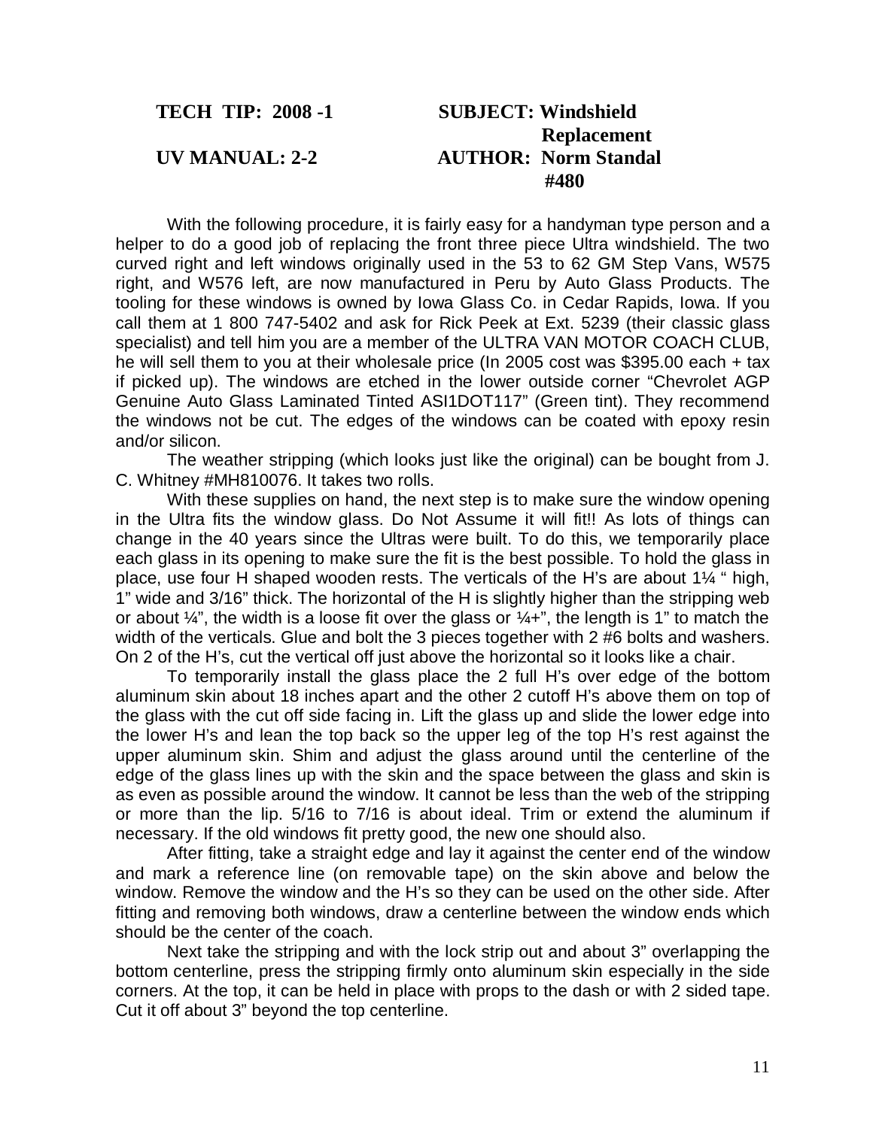# **TECH TIP: 2008 -1 SUBJECT: Windshield Replacement UV MANUAL: 2-2 AUTHOR: Norm Standal #480**

 With the following procedure, it is fairly easy for a handyman type person and a helper to do a good job of replacing the front three piece Ultra windshield. The two curved right and left windows originally used in the 53 to 62 GM Step Vans, W575 right, and W576 left, are now manufactured in Peru by Auto Glass Products. The tooling for these windows is owned by Iowa Glass Co. in Cedar Rapids, Iowa. If you call them at 1 800 747-5402 and ask for Rick Peek at Ext. 5239 (their classic glass specialist) and tell him you are a member of the ULTRA VAN MOTOR COACH CLUB, he will sell them to you at their wholesale price (In 2005 cost was \$395.00 each + tax if picked up). The windows are etched in the lower outside corner "Chevrolet AGP Genuine Auto Glass Laminated Tinted ASI1DOT117" (Green tint). They recommend the windows not be cut. The edges of the windows can be coated with epoxy resin and/or silicon.

 The weather stripping (which looks just like the original) can be bought from J. C. Whitney #MH810076. It takes two rolls.

 With these supplies on hand, the next step is to make sure the window opening in the Ultra fits the window glass. Do Not Assume it will fit!! As lots of things can change in the 40 years since the Ultras were built. To do this, we temporarily place each glass in its opening to make sure the fit is the best possible. To hold the glass in place, use four H shaped wooden rests. The verticals of the H's are about 1¼ " high, 1" wide and 3/16" thick. The horizontal of the H is slightly higher than the stripping web or about  $\frac{1}{4}$ , the width is a loose fit over the glass or  $\frac{1}{4}$ , the length is 1" to match the width of the verticals. Glue and bolt the 3 pieces together with 2 #6 bolts and washers. On 2 of the H's, cut the vertical off just above the horizontal so it looks like a chair.

 To temporarily install the glass place the 2 full H's over edge of the bottom aluminum skin about 18 inches apart and the other 2 cutoff H's above them on top of the glass with the cut off side facing in. Lift the glass up and slide the lower edge into the lower H's and lean the top back so the upper leg of the top H's rest against the upper aluminum skin. Shim and adjust the glass around until the centerline of the edge of the glass lines up with the skin and the space between the glass and skin is as even as possible around the window. It cannot be less than the web of the stripping or more than the lip. 5/16 to 7/16 is about ideal. Trim or extend the aluminum if necessary. If the old windows fit pretty good, the new one should also.

 After fitting, take a straight edge and lay it against the center end of the window and mark a reference line (on removable tape) on the skin above and below the window. Remove the window and the H's so they can be used on the other side. After fitting and removing both windows, draw a centerline between the window ends which should be the center of the coach.

 Next take the stripping and with the lock strip out and about 3" overlapping the bottom centerline, press the stripping firmly onto aluminum skin especially in the side corners. At the top, it can be held in place with props to the dash or with 2 sided tape. Cut it off about 3" beyond the top centerline.